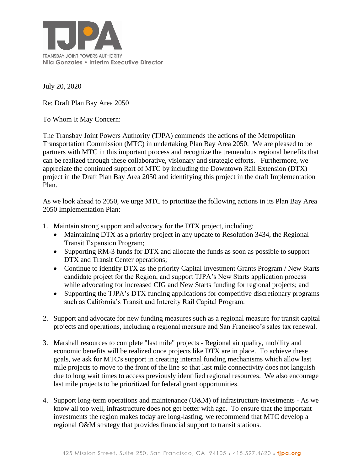

July 20, 2020

Re: Draft Plan Bay Area 2050

To Whom It May Concern:

The Transbay Joint Powers Authority (TJPA) commends the actions of the Metropolitan Transportation Commission (MTC) in undertaking Plan Bay Area 2050. We are pleased to be partners with MTC in this important process and recognize the tremendous regional benefits that can be realized through these collaborative, visionary and strategic efforts. Furthermore, we appreciate the continued support of MTC by including the Downtown Rail Extension (DTX) project in the Draft Plan Bay Area 2050 and identifying this project in the draft Implementation Plan.

As we look ahead to 2050, we urge MTC to prioritize the following actions in its Plan Bay Area 2050 Implementation Plan:

- 1. Maintain strong support and advocacy for the DTX project, including:
	- Maintaining DTX as a priority project in any update to Resolution 3434, the Regional Transit Expansion Program;
	- Supporting RM-3 funds for DTX and allocate the funds as soon as possible to support DTX and Transit Center operations;
	- Continue to identify DTX as the priority Capital Investment Grants Program / New Starts candidate project for the Region, and support TJPA's New Starts application process while advocating for increased CIG and New Starts funding for regional projects; and
	- Supporting the TJPA's DTX funding applications for competitive discretionary programs such as California's Transit and Intercity Rail Capital Program.
- 2. Support and advocate for new funding measures such as a regional measure for transit capital projects and operations, including a regional measure and San Francisco's sales tax renewal.
- 3. Marshall resources to complete "last mile" projects Regional air quality, mobility and economic benefits will be realized once projects like DTX are in place. To achieve these goals, we ask for MTC's support in creating internal funding mechanisms which allow last mile projects to move to the front of the line so that last mile connectivity does not languish due to long wait times to access previously identified regional resources. We also encourage last mile projects to be prioritized for federal grant opportunities.
- 4. Support long-term operations and maintenance (O&M) of infrastructure investments As we know all too well, infrastructure does not get better with age. To ensure that the important investments the region makes today are long-lasting, we recommend that MTC develop a regional O&M strategy that provides financial support to transit stations.